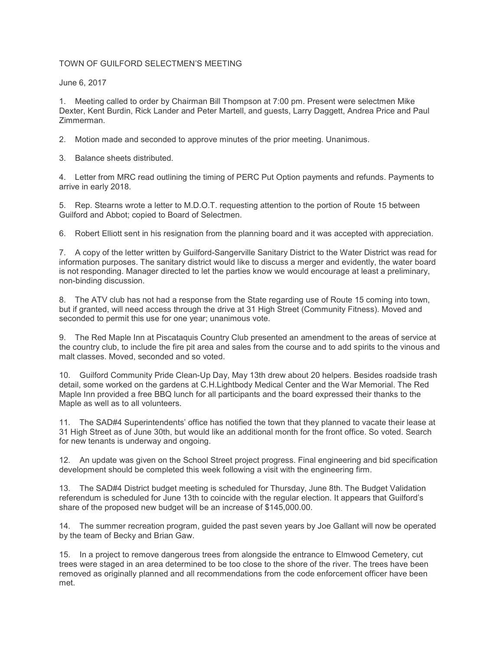## TOWN OF GUILFORD SELECTMEN'S MEETING

June 6, 2017

1. Meeting called to order by Chairman Bill Thompson at 7:00 pm. Present were selectmen Mike Dexter, Kent Burdin, Rick Lander and Peter Martell, and guests, Larry Daggett, Andrea Price and Paul Zimmerman.

2. Motion made and seconded to approve minutes of the prior meeting. Unanimous.

3. Balance sheets distributed.

4. Letter from MRC read outlining the timing of PERC Put Option payments and refunds. Payments to arrive in early 2018.

5. Rep. Stearns wrote a letter to M.D.O.T. requesting attention to the portion of Route 15 between Guilford and Abbot; copied to Board of Selectmen.

6. Robert Elliott sent in his resignation from the planning board and it was accepted with appreciation.

7. A copy of the letter written by Guilford-Sangerville Sanitary District to the Water District was read for information purposes. The sanitary district would like to discuss a merger and evidently, the water board is not responding. Manager directed to let the parties know we would encourage at least a preliminary, non-binding discussion.

8. The ATV club has not had a response from the State regarding use of Route 15 coming into town, but if granted, will need access through the drive at 31 High Street (Community Fitness). Moved and seconded to permit this use for one year; unanimous vote.

9. The Red Maple Inn at Piscataquis Country Club presented an amendment to the areas of service at the country club, to include the fire pit area and sales from the course and to add spirits to the vinous and malt classes. Moved, seconded and so voted.

10. Guilford Community Pride Clean-Up Day, May 13th drew about 20 helpers. Besides roadside trash detail, some worked on the gardens at C.H.Lightbody Medical Center and the War Memorial. The Red Maple Inn provided a free BBQ lunch for all participants and the board expressed their thanks to the Maple as well as to all volunteers.

11. The SAD#4 Superintendents' office has notified the town that they planned to vacate their lease at 31 High Street as of June 30th, but would like an additional month for the front office. So voted. Search for new tenants is underway and ongoing.

12. An update was given on the School Street project progress. Final engineering and bid specification development should be completed this week following a visit with the engineering firm.

13. The SAD#4 District budget meeting is scheduled for Thursday, June 8th. The Budget Validation referendum is scheduled for June 13th to coincide with the regular election. It appears that Guilford's share of the proposed new budget will be an increase of \$145,000.00.

14. The summer recreation program, guided the past seven years by Joe Gallant will now be operated by the team of Becky and Brian Gaw.

15. In a project to remove dangerous trees from alongside the entrance to Elmwood Cemetery, cut trees were staged in an area determined to be too close to the shore of the river. The trees have been removed as originally planned and all recommendations from the code enforcement officer have been met.